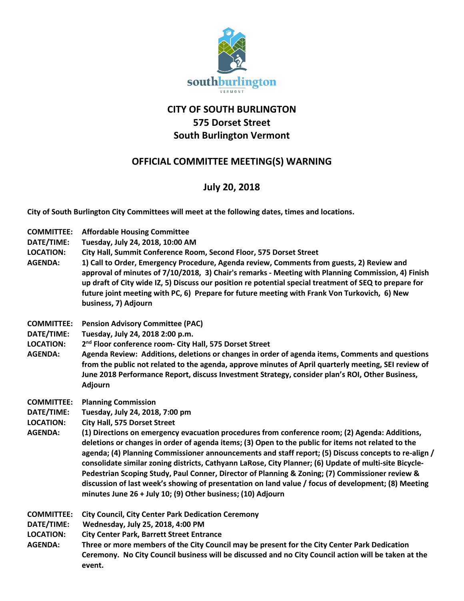

## **CITY OF SOUTH BURLINGTON 575 Dorset Street South Burlington Vermont**

## **OFFICIAL COMMITTEE MEETING(S) WARNING**

## **July 20, 2018**

**City of South Burlington City Committees will meet at the following dates, times and locations.** 

**COMMITTEE: Affordable Housing Committee DATE/TIME: Tuesday, July 24, 2018, 10:00 AM LOCATION: City Hall, Summit Conference Room, Second Floor, 575 Dorset Street AGENDA: 1) Call to Order, Emergency Procedure, Agenda review, Comments from guests, 2) Review and approval of minutes of 7/10/2018, 3) Chair's remarks - Meeting with Planning Commission, 4) Finish up draft of City wide IZ, 5) Discuss our position re potential special treatment of SEQ to prepare for future joint meeting with PC, 6) Prepare for future meeting with Frank Von Turkovich, 6) New business, 7) Adjourn COMMITTEE: Pension Advisory Committee (PAC) DATE/TIME: Tuesday, July 24, 2018 2:00 p.m. LOCATION: 2nd Floor conference room- City Hall, 575 Dorset Street AGENDA: Agenda Review: Additions, deletions or changes in order of agenda items, Comments and questions from the public not related to the agenda, approve minutes of April quarterly meeting, SEI review of June 2018 Performance Report, discuss Investment Strategy, consider plan's ROI, Other Business, Adjourn COMMITTEE: Planning Commission DATE/TIME: Tuesday, July 24, 2018, 7:00 pm LOCATION: City Hall, 575 Dorset Street AGENDA: (1) Directions on emergency evacuation procedures from conference room; (2) Agenda: Additions, deletions or changes in order of agenda items; (3) Open to the public for items not related to the agenda; (4) Planning Commissioner announcements and staff report; (5) Discuss concepts to re-align / consolidate similar zoning districts, Cathyann LaRose, City Planner; (6) Update of multi-site Bicycle-Pedestrian Scoping Study, Paul Conner, Director of Planning & Zoning; (7) Commissioner review & discussion of last week's showing of presentation on land value / focus of development; (8) Meeting minutes June 26 + July 10; (9) Other business; (10) Adjourn COMMITTEE: City Council, City Center Park Dedication Ceremony DATE/TIME: Wednesday, July 25, 2018, 4:00 PM LOCATION: City Center Park, Barrett Street Entrance AGENDA: Three or more members of the City Council may be present for the City Center Park Dedication Ceremony. No City Council business will be discussed and no City Council action will be taken at the event.**